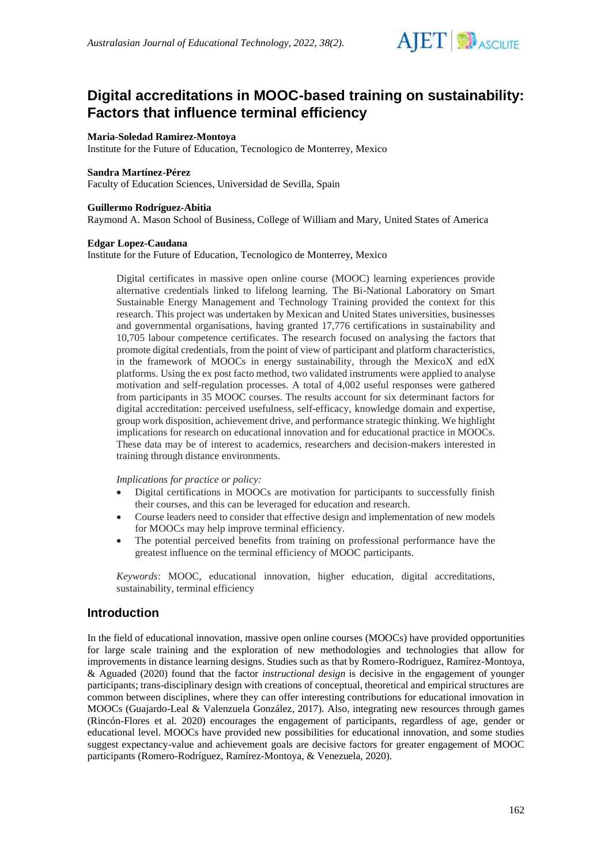

# **Digital accreditations in MOOC-based training on sustainability: Factors that influence terminal efficiency**

## **Maria-Soledad Ramirez-Montoya**

Institute for the Future of Education, Tecnologico de Monterrey, Mexico

#### **Sandra Martínez-Pérez**

Faculty of Education Sciences, Universidad de Sevilla, Spain

### **Guillermo Rodríguez-Abitia**

Raymond A. Mason School of Business, College of William and Mary, United States of America

### **Edgar Lopez-Caudana**

Institute for the Future of Education, Tecnologico de Monterrey, Mexico

Digital certificates in massive open online course (MOOC) learning experiences provide alternative credentials linked to lifelong learning. The Bi-National Laboratory on Smart Sustainable Energy Management and Technology Training provided the context for this research. This project was undertaken by Mexican and United States universities, businesses and governmental organisations, having granted 17,776 certifications in sustainability and 10,705 labour competence certificates. The research focused on analysing the factors that promote digital credentials, from the point of view of participant and platform characteristics, in the framework of MOOCs in energy sustainability, through the MexicoX and edX platforms. Using the ex post facto method, two validated instruments were applied to analyse motivation and self-regulation processes. A total of 4,002 useful responses were gathered from participants in 35 MOOC courses. The results account for six determinant factors for digital accreditation: perceived usefulness, self-efficacy, knowledge domain and expertise, group work disposition, achievement drive, and performance strategic thinking. We highlight implications for research on educational innovation and for educational practice in MOOCs. These data may be of interest to academics, researchers and decision-makers interested in training through distance environments.

*Implications for practice or policy:*

- Digital certifications in MOOCs are motivation for participants to successfully finish their courses, and this can be leveraged for education and research.
- Course leaders need to consider that effective design and implementation of new models for MOOCs may help improve terminal efficiency.
- The potential perceived benefits from training on professional performance have the greatest influence on the terminal efficiency of MOOC participants.

*Keywords*: MOOC, educational innovation, higher education, digital accreditations, sustainability, terminal efficiency

## **Introduction**

In the field of educational innovation, massive open online courses (MOOCs) have provided opportunities for large scale training and the exploration of new methodologies and technologies that allow for improvements in distance learning designs. Studies such as that by Romero-Rodriguez, Ramírez-Montoya, & Aguaded (2020) found that the factor *instructional design* is decisive in the engagement of younger participants; trans-disciplinary design with creations of conceptual, theoretical and empirical structures are common between disciplines, where they can offer interesting contributions for educational innovation in MOOCs (Guajardo-Leal & Valenzuela González, 2017). Also, integrating new resources through games (Rincón-Flores et al. 2020) encourages the engagement of participants, regardless of age, gender or educational level. MOOCs have provided new possibilities for educational innovation, and some studies suggest expectancy-value and achievement goals are decisive factors for greater engagement of MOOC participants (Romero-Rodríguez, Ramírez-Montoya, & Venezuela, 2020).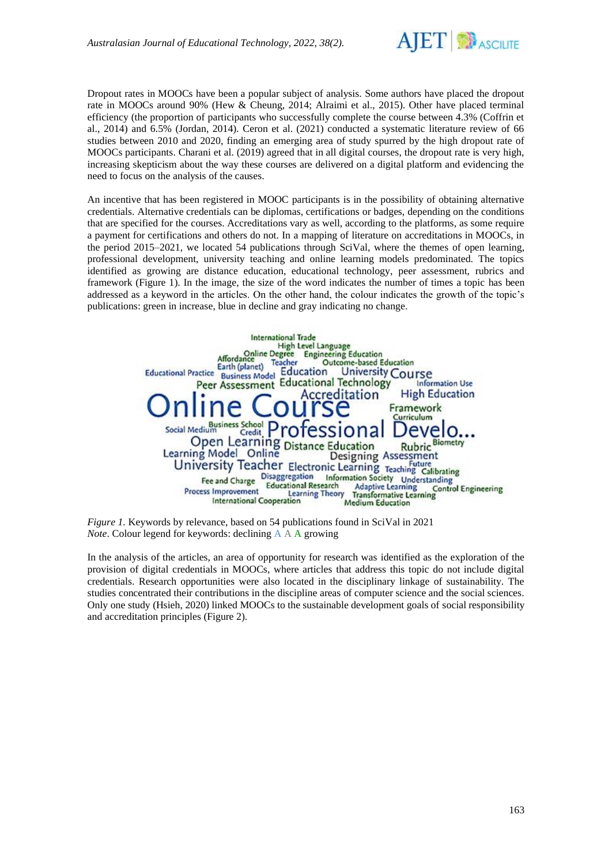

Dropout rates in MOOCs have been a popular subject of analysis. Some authors have placed the dropout rate in MOOCs around 90% (Hew & Cheung, 2014; Alraimi et al., 2015). Other have placed terminal efficiency (the proportion of participants who successfully complete the course between 4.3% (Coffrin et al., 2014) and 6.5% (Jordan, 2014). Ceron et al. (2021) conducted a systematic literature review of 66 studies between 2010 and 2020, finding an emerging area of study spurred by the high dropout rate of MOOCs participants. Charani et al. (2019) agreed that in all digital courses, the dropout rate is very high, increasing skepticism about the way these courses are delivered on a digital platform and evidencing the need to focus on the analysis of the causes.

An incentive that has been registered in MOOC participants is in the possibility of obtaining alternative credentials. Alternative credentials can be diplomas, certifications or badges, depending on the conditions that are specified for the courses. Accreditations vary as well, according to the platforms, as some require a payment for certifications and others do not. In a mapping of literature on accreditations in MOOCs, in the period 2015–2021, we located 54 publications through SciVal, where the themes of open learning, professional development, university teaching and online learning models predominated. The topics identified as growing are distance education, educational technology, peer assessment, rubrics and framework (Figure 1). In the image, the size of the word indicates the number of times a topic has been addressed as a keyword in the articles. On the other hand, the colour indicates the growth of the topic's publications: green in increase, blue in decline and gray indicating no change.



*Figure 1.* Keywords by relevance, based on 54 publications found in SciVal in 2021 *Note*. Colour legend for keywords: declining A A A growing

In the analysis of the articles, an area of opportunity for research was identified as the exploration of the provision of digital credentials in MOOCs, where articles that address this topic do not include digital credentials. Research opportunities were also located in the disciplinary linkage of sustainability. The studies concentrated their contributions in the discipline areas of computer science and the social sciences. Only one study (Hsieh, 2020) linked MOOCs to the sustainable development goals of social responsibility and accreditation principles (Figure 2).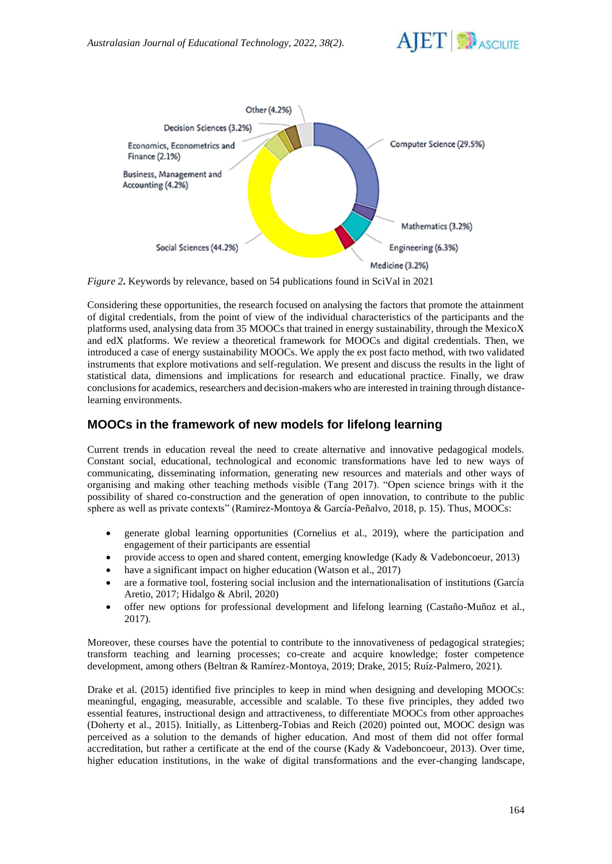



*Figure 2***.** Keywords by relevance, based on 54 publications found in SciVal in 2021

Considering these opportunities, the research focused on analysing the factors that promote the attainment of digital credentials, from the point of view of the individual characteristics of the participants and the platforms used, analysing data from 35 MOOCs that trained in energy sustainability, through the MexicoX and edX platforms. We review a theoretical framework for MOOCs and digital credentials. Then, we introduced a case of energy sustainability MOOCs. We apply the ex post facto method, with two validated instruments that explore motivations and self-regulation. We present and discuss the results in the light of statistical data, dimensions and implications for research and educational practice. Finally, we draw conclusions for academics, researchers and decision-makers who are interested in training through distancelearning environments.

# **MOOCs in the framework of new models for lifelong learning**

Current trends in education reveal the need to create alternative and innovative pedagogical models. Constant social, educational, technological and economic transformations have led to new ways of communicating, disseminating information, generating new resources and materials and other ways of organising and making other teaching methods visible (Tang 2017). "Open science brings with it the possibility of shared co-construction and the generation of open innovation, to contribute to the public sphere as well as private contexts" (Ramírez-Montoya & García-Peñalvo, 2018, p. 15). Thus, MOOCs:

- generate global learning opportunities (Cornelius et al., 2019), where the participation and engagement of their participants are essential
- provide access to open and shared content, emerging knowledge (Kady & Vadeboncoeur, 2013)
- have a significant impact on higher education (Watson et al., 2017)
- are a formative tool, fostering social inclusion and the internationalisation of institutions (García Aretio, 2017; Hidalgo & Abril, 2020)
- offer new options for professional development and lifelong learning (Castaño-Muñoz et al., 2017).

Moreover, these courses have the potential to contribute to the innovativeness of pedagogical strategies; transform teaching and learning processes; co-create and acquire knowledge; foster competence development, among others (Beltran & Ramírez-Montoya, 2019; Drake, 2015; Ruíz-Palmero, 2021).

Drake et al. (2015) identified five principles to keep in mind when designing and developing MOOCs: meaningful, engaging, measurable, accessible and scalable. To these five principles, they added two essential features, instructional design and attractiveness, to differentiate MOOCs from other approaches (Doherty et al., 2015). Initially, as Littenberg-Tobias and Reich (2020) pointed out, MOOC design was perceived as a solution to the demands of higher education. And most of them did not offer formal accreditation, but rather a certificate at the end of the course (Kady & Vadeboncoeur, 2013). Over time, higher education institutions, in the wake of digital transformations and the ever-changing landscape,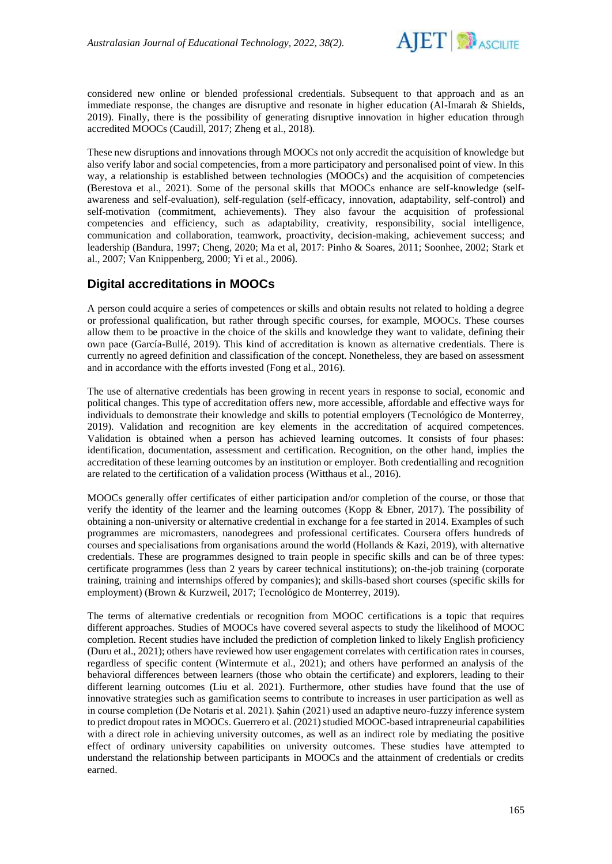

considered new online or blended professional credentials. Subsequent to that approach and as an immediate response, the changes are disruptive and resonate in higher education (Al-Imarah & Shields, 2019). Finally, there is the possibility of generating disruptive innovation in higher education through accredited MOOCs (Caudill, 2017; Zheng et al., 2018).

These new disruptions and innovations through MOOCs not only accredit the acquisition of knowledge but also verify labor and social competencies, from a more participatory and personalised point of view. In this way, a relationship is established between technologies (MOOCs) and the acquisition of competencies (Berestova et al., 2021). Some of the personal skills that MOOCs enhance are self-knowledge (selfawareness and self-evaluation), self-regulation (self-efficacy, innovation, adaptability, self-control) and self-motivation (commitment, achievements). They also favour the acquisition of professional competencies and efficiency, such as adaptability, creativity, responsibility, social intelligence, communication and collaboration, teamwork, proactivity, decision-making, achievement success; and leadership (Bandura, 1997; Cheng, 2020; Ma et al, 2017: Pinho & Soares, 2011; Soonhee, 2002; Stark et al., 2007; Van Knippenberg, 2000; Yi et al., 2006).

# **Digital accreditations in MOOCs**

A person could acquire a series of competences or skills and obtain results not related to holding a degree or professional qualification, but rather through specific courses, for example, MOOCs. These courses allow them to be proactive in the choice of the skills and knowledge they want to validate, defining their own pace (García-Bullé, 2019). This kind of accreditation is known as alternative credentials. There is currently no agreed definition and classification of the concept. Nonetheless, they are based on assessment and in accordance with the efforts invested (Fong et al., 2016).

The use of alternative credentials has been growing in recent years in response to social, economic and political changes. This type of accreditation offers new, more accessible, affordable and effective ways for individuals to demonstrate their knowledge and skills to potential employers (Tecnológico de Monterrey, 2019). Validation and recognition are key elements in the accreditation of acquired competences. Validation is obtained when a person has achieved learning outcomes. It consists of four phases: identification, documentation, assessment and certification. Recognition, on the other hand, implies the accreditation of these learning outcomes by an institution or employer. Both credentialling and recognition are related to the certification of a validation process (Witthaus et al., 2016).

MOOCs generally offer certificates of either participation and/or completion of the course, or those that verify the identity of the learner and the learning outcomes (Kopp & Ebner, 2017). The possibility of obtaining a non-university or alternative credential in exchange for a fee started in 2014. Examples of such programmes are micromasters, nanodegrees and professional certificates. Coursera offers hundreds of courses and specialisations from organisations around the world (Hollands & Kazi, 2019), with alternative credentials. These are programmes designed to train people in specific skills and can be of three types: certificate programmes (less than 2 years by career technical institutions); on-the-job training (corporate training, training and internships offered by companies); and skills-based short courses (specific skills for employment) (Brown & Kurzweil, 2017; Tecnológico de Monterrey, 2019).

The terms of alternative credentials or recognition from MOOC certifications is a topic that requires different approaches. Studies of MOOCs have covered several aspects to study the likelihood of MOOC completion. Recent studies have included the prediction of completion linked to likely English proficiency (Duru et al., 2021); others have reviewed how user engagement correlates with certification rates in courses, regardless of specific content (Wintermute et al., 2021); and others have performed an analysis of the behavioral differences between learners (those who obtain the certificate) and explorers, leading to their different learning outcomes (Liu et al. 2021). Furthermore, other studies have found that the use of innovative strategies such as gamification seems to contribute to increases in user participation as well as in course completion (De Notaris et al. 2021). Şahin (2021) used an adaptive neuro-fuzzy inference system to predict dropout rates in MOOCs. Guerrero et al. (2021) studied MOOC-based intrapreneurial capabilities with a direct role in achieving university outcomes, as well as an indirect role by mediating the positive effect of ordinary university capabilities on university outcomes. These studies have attempted to understand the relationship between participants in MOOCs and the attainment of credentials or credits earned.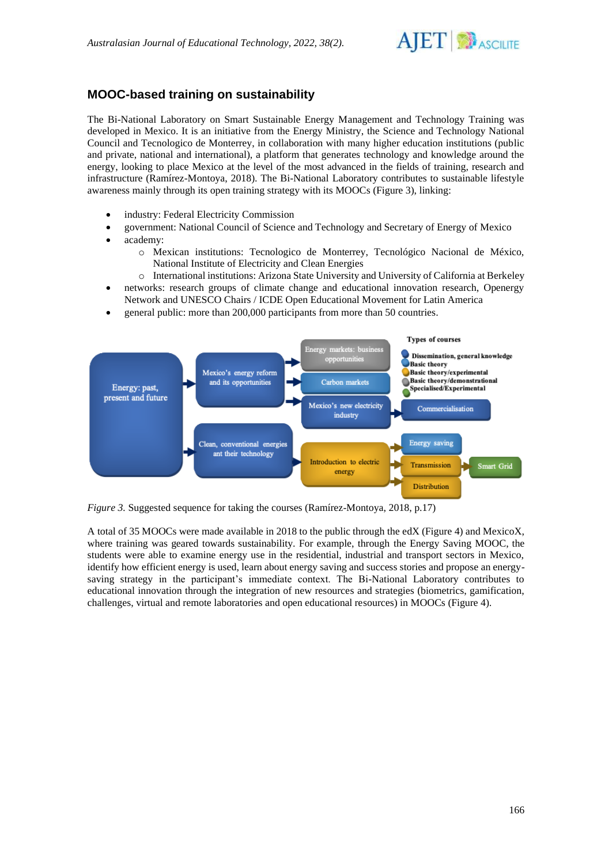

# **MOOC-based training on sustainability**

The Bi-National Laboratory on Smart Sustainable Energy Management and Technology Training was developed in Mexico. It is an initiative from the Energy Ministry, the Science and Technology National Council and Tecnologico de Monterrey, in collaboration with many higher education institutions (public and private, national and international), a platform that generates technology and knowledge around the energy, looking to place Mexico at the level of the most advanced in the fields of training, research and infrastructure (Ramírez-Montoya, 2018). The Bi-National Laboratory contributes to sustainable lifestyle awareness mainly through its open training strategy with its MOOCs (Figure 3), linking:

- industry: Federal Electricity Commission
- government: National Council of Science and Technology and Secretary of Energy of Mexico
- academy:
	- o Mexican institutions: Tecnologico de Monterrey, Tecnológico Nacional de México, National Institute of Electricity and Clean Energies
	- o International institutions: Arizona State University and University of California at Berkeley
- networks: research groups of climate change and educational innovation research, Openergy Network and UNESCO Chairs / ICDE Open Educational Movement for Latin America
- general public: more than 200,000 participants from more than 50 countries.



*Figure 3.* Suggested sequence for taking the courses (Ramírez-Montoya, 2018, p.17)

A total of 35 MOOCs were made available in 2018 to the public through the edX (Figure 4) and MexicoX, where training was geared towards sustainability. For example, through the Energy Saving MOOC, the students were able to examine energy use in the residential, industrial and transport sectors in Mexico, identify how efficient energy is used, learn about energy saving and success stories and propose an energysaving strategy in the participant's immediate context. The Bi-National Laboratory contributes to educational innovation through the integration of new resources and strategies (biometrics, gamification, challenges, virtual and remote laboratories and open educational resources) in MOOCs (Figure 4).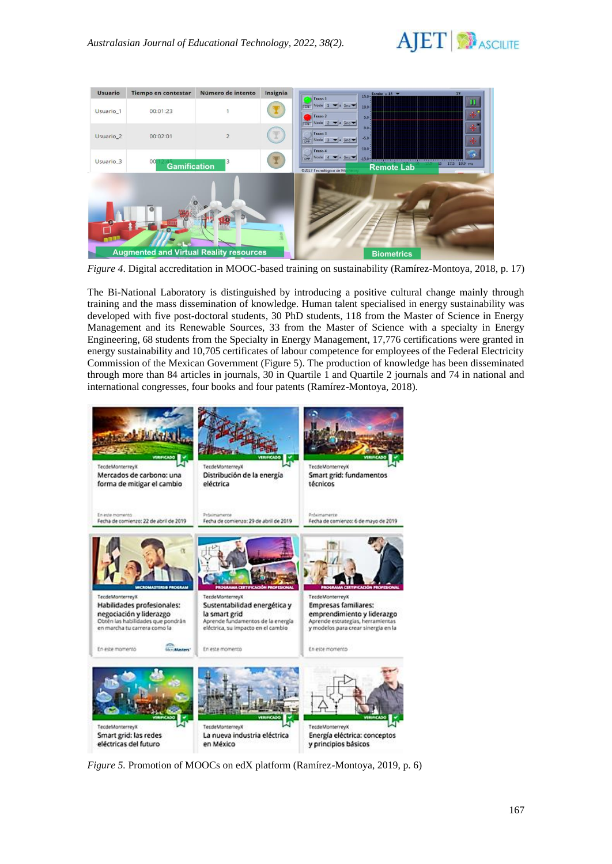



*Figure 4*. Digital accreditation in MOOC-based training on sustainability (Ramírez-Montoya, 2018, p. 17)

The Bi-National Laboratory is distinguished by introducing a positive cultural change mainly through training and the mass dissemination of knowledge. Human talent specialised in energy sustainability was developed with five post-doctoral students, 30 PhD students, 118 from the Master of Science in Energy Management and its Renewable Sources, 33 from the Master of Science with a specialty in Energy Engineering, 68 students from the Specialty in Energy Management, 17,776 certifications were granted in energy sustainability and 10,705 certificates of labour competence for employees of the Federal Electricity Commission of the Mexican Government (Figure 5). The production of knowledge has been disseminated through more than 84 articles in journals, 30 in Quartile 1 and Quartile 2 journals and 74 in national and international congresses, four books and four patents (Ramírez-Montoya, 2018).



*Figure 5.* Promotion of MOOCs on edX platform (Ramírez-Montoya, 2019, p. 6)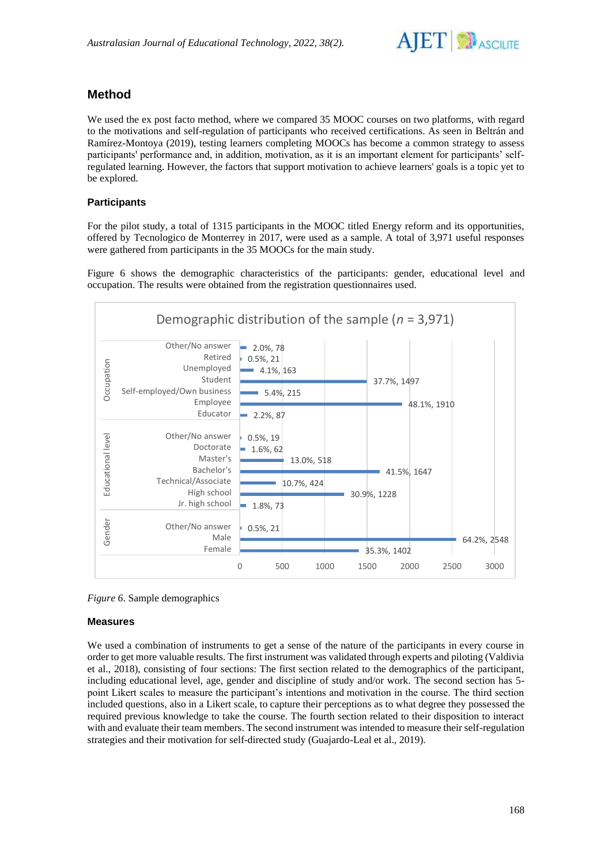

# **Method**

We used the ex post facto method, where we compared 35 MOOC courses on two platforms, with regard to the motivations and self-regulation of participants who received certifications. As seen in Beltrán and Ramírez-Montoya (2019), testing learners completing MOOCs has become a common strategy to assess participants' performance and, in addition, motivation, as it is an important element for participants' selfregulated learning. However, the factors that support motivation to achieve learners' goals is a topic yet to be explored.

## **Participants**

For the pilot study, a total of 1315 participants in the MOOC titled Energy reform and its opportunities, offered by Tecnologico de Monterrey in 2017, were used as a sample. A total of 3,971 useful responses were gathered from participants in the 35 MOOCs for the main study.

Figure 6 shows the demographic characteristics of the participants: gender, educational level and occupation. The results were obtained from the registration questionnaires used.





## **Measures**

We used a combination of instruments to get a sense of the nature of the participants in every course in order to get more valuable results. The first instrument was validated through experts and piloting (Valdivia et al., 2018), consisting of four sections: The first section related to the demographics of the participant, including educational level, age, gender and discipline of study and/or work. The second section has 5 point Likert scales to measure the participant's intentions and motivation in the course. The third section included questions, also in a Likert scale, to capture their perceptions as to what degree they possessed the required previous knowledge to take the course. The fourth section related to their disposition to interact with and evaluate their team members. The second instrument was intended to measure their self-regulation strategies and their motivation for self-directed study (Guajardo-Leal et al., 2019).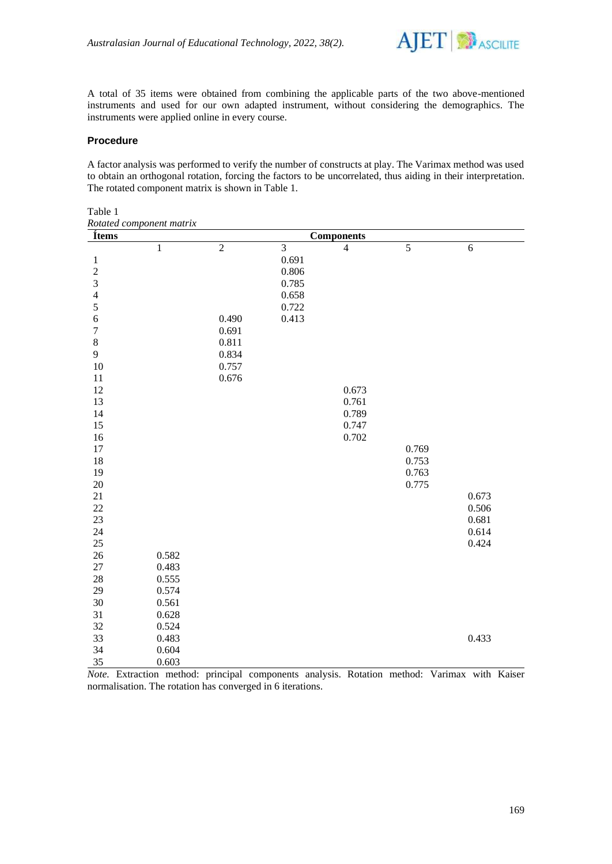

A total of 35 items were obtained from combining the applicable parts of the two above-mentioned instruments and used for our own adapted instrument, without considering the demographics. The instruments were applied online in every course.

#### **Procedure**

A factor analysis was performed to verify the number of constructs at play. The Varimax method was used to obtain an orthogonal rotation, forcing the factors to be uncorrelated, thus aiding in their interpretation. The rotated component matrix is shown in Table 1.

Table 1 *Rotated component matrix*

| Ítems                   |              | <b>Components</b> |                |                |                |            |  |
|-------------------------|--------------|-------------------|----------------|----------------|----------------|------------|--|
|                         | $\mathbf{1}$ | $\overline{2}$    | $\overline{3}$ | $\overline{4}$ | $\overline{5}$ | $\sqrt{6}$ |  |
| $\mathbf{1}$            |              |                   | 0.691          |                |                |            |  |
| $\overline{c}$          |              |                   | 0.806          |                |                |            |  |
| $\overline{\mathbf{3}}$ |              |                   | 0.785          |                |                |            |  |
| $\overline{4}$          |              |                   | 0.658          |                |                |            |  |
| 5                       |              |                   | 0.722          |                |                |            |  |
| $\boldsymbol{6}$        |              | 0.490             | 0.413          |                |                |            |  |
| $\sqrt{ }$              |              | 0.691             |                |                |                |            |  |
| $\,$ 8 $\,$             |              | 0.811             |                |                |                |            |  |
| 9                       |              | 0.834             |                |                |                |            |  |
| 10                      |              | 0.757             |                |                |                |            |  |
| 11                      |              | 0.676             |                |                |                |            |  |
| 12                      |              |                   |                | 0.673          |                |            |  |
| 13                      |              |                   |                | 0.761          |                |            |  |
| 14                      |              |                   |                | 0.789          |                |            |  |
| 15                      |              |                   |                | 0.747          |                |            |  |
| 16                      |              |                   |                | 0.702          |                |            |  |
| 17                      |              |                   |                |                | 0.769          |            |  |
| 18                      |              |                   |                |                | 0.753          |            |  |
| 19                      |              |                   |                |                | 0.763          |            |  |
| 20                      |              |                   |                |                | 0.775          |            |  |
| 21                      |              |                   |                |                |                | 0.673      |  |
| 22                      |              |                   |                |                |                | 0.506      |  |
| 23                      |              |                   |                |                |                | 0.681      |  |
| 24                      |              |                   |                |                |                | 0.614      |  |
| $25\,$                  |              |                   |                |                |                | 0.424      |  |
| 26                      | 0.582        |                   |                |                |                |            |  |
| $27\,$                  | 0.483        |                   |                |                |                |            |  |
| 28                      | 0.555        |                   |                |                |                |            |  |
| 29                      | 0.574        |                   |                |                |                |            |  |
| 30                      | 0.561        |                   |                |                |                |            |  |
| 31                      | 0.628        |                   |                |                |                |            |  |
| 32                      | 0.524        |                   |                |                |                |            |  |
| 33                      | 0.483        |                   |                |                |                | 0.433      |  |
| 34                      | 0.604        |                   |                |                |                |            |  |
| 35                      | 0.603        |                   |                |                |                |            |  |

*Note.* Extraction method: principal components analysis. Rotation method: Varimax with Kaiser normalisation. The rotation has converged in 6 iterations.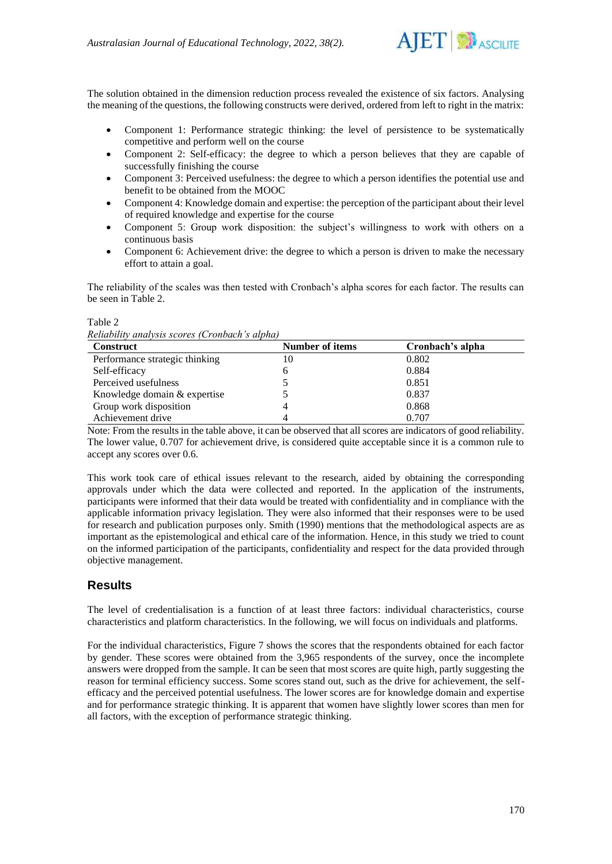

The solution obtained in the dimension reduction process revealed the existence of six factors. Analysing the meaning of the questions, the following constructs were derived, ordered from left to right in the matrix:

- Component 1: Performance strategic thinking: the level of persistence to be systematically competitive and perform well on the course
- Component 2: Self-efficacy: the degree to which a person believes that they are capable of successfully finishing the course
- Component 3: Perceived usefulness: the degree to which a person identifies the potential use and benefit to be obtained from the MOOC
- Component 4: Knowledge domain and expertise: the perception of the participant about their level of required knowledge and expertise for the course
- Component 5: Group work disposition: the subject's willingness to work with others on a continuous basis
- Component 6: Achievement drive: the degree to which a person is driven to make the necessary effort to attain a goal.

The reliability of the scales was then tested with Cronbach's alpha scores for each factor. The results can be seen in Table 2.

Table 2 *Reliability analysis scores (Cronbach's alpha)*

| <b>Construct</b>               | Number of items | Cronbach's alpha |
|--------------------------------|-----------------|------------------|
| Performance strategic thinking | 10              | 0.802            |
| Self-efficacy                  |                 | 0.884            |
| Perceived usefulness           |                 | 0.851            |
| Knowledge domain & expertise   |                 | 0.837            |
| Group work disposition         |                 | 0.868            |
| Achievement drive              |                 | 0.707            |

Note: From the results in the table above, it can be observed that all scores are indicators of good reliability. The lower value, 0.707 for achievement drive, is considered quite acceptable since it is a common rule to accept any scores over 0.6.

This work took care of ethical issues relevant to the research, aided by obtaining the corresponding approvals under which the data were collected and reported. In the application of the instruments, participants were informed that their data would be treated with confidentiality and in compliance with the applicable information privacy legislation. They were also informed that their responses were to be used for research and publication purposes only. Smith (1990) mentions that the methodological aspects are as important as the epistemological and ethical care of the information. Hence, in this study we tried to count on the informed participation of the participants, confidentiality and respect for the data provided through objective management.

# **Results**

The level of credentialisation is a function of at least three factors: individual characteristics, course characteristics and platform characteristics. In the following, we will focus on individuals and platforms.

For the individual characteristics, Figure 7 shows the scores that the respondents obtained for each factor by gender. These scores were obtained from the 3,965 respondents of the survey, once the incomplete answers were dropped from the sample. It can be seen that most scores are quite high, partly suggesting the reason for terminal efficiency success. Some scores stand out, such as the drive for achievement, the selfefficacy and the perceived potential usefulness. The lower scores are for knowledge domain and expertise and for performance strategic thinking. It is apparent that women have slightly lower scores than men for all factors, with the exception of performance strategic thinking.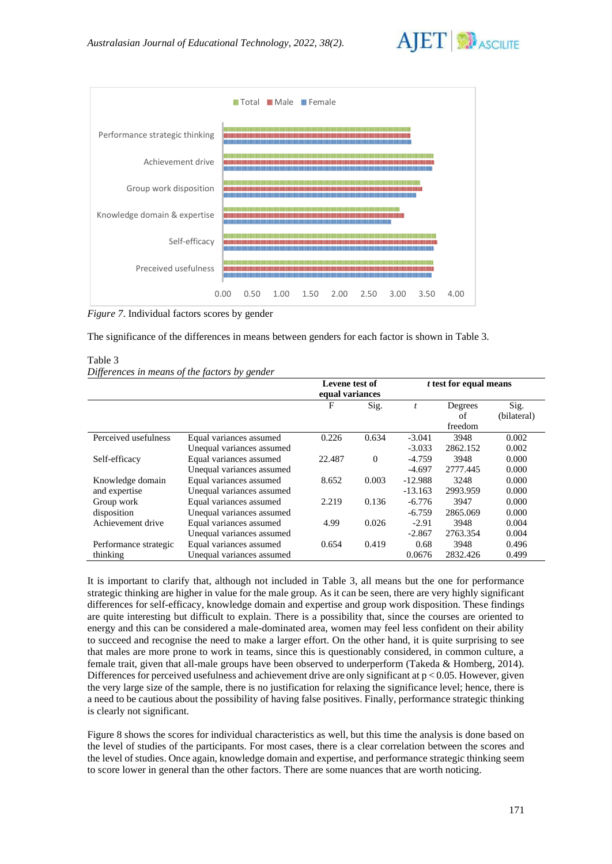



*Figure 7*. Individual factors scores by gender

The significance of the differences in means between genders for each factor is shown in Table 3.

| Table 3                                       |  |  |
|-----------------------------------------------|--|--|
| Differences in means of the factors by gender |  |  |

|                       |                           | Levene test of<br>equal variances |          | <i>t</i> test for equal means |          |             |
|-----------------------|---------------------------|-----------------------------------|----------|-------------------------------|----------|-------------|
|                       |                           | F                                 | Sig.     |                               | Degrees  | Sig.        |
|                       |                           |                                   |          |                               | of       | (bilateral) |
|                       |                           |                                   |          |                               | freedom  |             |
| Perceived usefulness  | Equal variances assumed   | 0.226                             | 0.634    | $-3.041$                      | 3948     | 0.002       |
|                       | Unequal variances assumed |                                   |          | $-3.033$                      | 2862.152 | 0.002       |
| Self-efficacy         | Equal variances assumed   | 22.487                            | $\Omega$ | $-4.759$                      | 3948     | 0.000       |
|                       | Unequal variances assumed |                                   |          | $-4.697$                      | 2777.445 | 0.000       |
| Knowledge domain      | Equal variances assumed   | 8.652                             | 0.003    | $-12.988$                     | 3248     | 0.000       |
| and expertise         | Unequal variances assumed |                                   |          | $-13.163$                     | 2993.959 | 0.000       |
| Group work            | Equal variances assumed   | 2.219                             | 0.136    | $-6.776$                      | 3947     | 0.000       |
| disposition           | Unequal variances assumed |                                   |          | $-6.759$                      | 2865.069 | 0.000       |
| Achievement drive     | Equal variances assumed   | 4.99                              | 0.026    | $-2.91$                       | 3948     | 0.004       |
|                       | Unequal variances assumed |                                   |          | $-2.867$                      | 2763.354 | 0.004       |
| Performance strategic | Equal variances assumed   | 0.654                             | 0.419    | 0.68                          | 3948     | 0.496       |
| thinking              | Unequal variances assumed |                                   |          | 0.0676                        | 2832.426 | 0.499       |

It is important to clarify that, although not included in Table 3, all means but the one for performance strategic thinking are higher in value for the male group. As it can be seen, there are very highly significant differences for self-efficacy, knowledge domain and expertise and group work disposition. These findings are quite interesting but difficult to explain. There is a possibility that, since the courses are oriented to energy and this can be considered a male-dominated area, women may feel less confident on their ability to succeed and recognise the need to make a larger effort. On the other hand, it is quite surprising to see that males are more prone to work in teams, since this is questionably considered, in common culture, a female trait, given that all-male groups have been observed to underperform (Takeda & Homberg, 2014). Differences for perceived usefulness and achievement drive are only significant at  $p < 0.05$ . However, given the very large size of the sample, there is no justification for relaxing the significance level; hence, there is a need to be cautious about the possibility of having false positives. Finally, performance strategic thinking is clearly not significant.

Figure 8 shows the scores for individual characteristics as well, but this time the analysis is done based on the level of studies of the participants. For most cases, there is a clear correlation between the scores and the level of studies. Once again, knowledge domain and expertise, and performance strategic thinking seem to score lower in general than the other factors. There are some nuances that are worth noticing.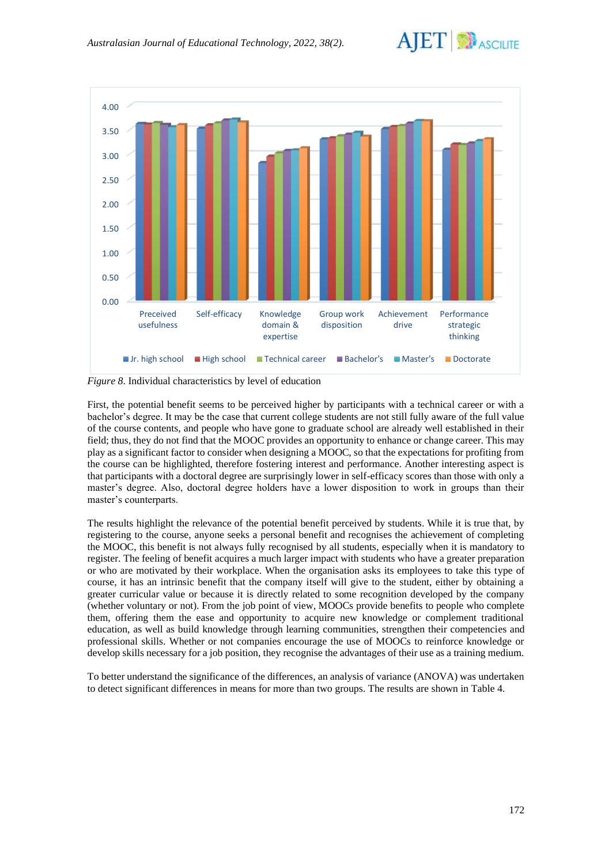



*Figure 8*. Individual characteristics by level of education

First, the potential benefit seems to be perceived higher by participants with a technical career or with a bachelor's degree. It may be the case that current college students are not still fully aware of the full value of the course contents, and people who have gone to graduate school are already well established in their field; thus, they do not find that the MOOC provides an opportunity to enhance or change career. This may play as a significant factor to consider when designing a MOOC, so that the expectations for profiting from the course can be highlighted, therefore fostering interest and performance. Another interesting aspect is that participants with a doctoral degree are surprisingly lower in self-efficacy scores than those with only a master's degree. Also, doctoral degree holders have a lower disposition to work in groups than their master's counterparts.

The results highlight the relevance of the potential benefit perceived by students. While it is true that, by registering to the course, anyone seeks a personal benefit and recognises the achievement of completing the MOOC, this benefit is not always fully recognised by all students, especially when it is mandatory to register. The feeling of benefit acquires a much larger impact with students who have a greater preparation or who are motivated by their workplace. When the organisation asks its employees to take this type of course, it has an intrinsic benefit that the company itself will give to the student, either by obtaining a greater curricular value or because it is directly related to some recognition developed by the company (whether voluntary or not). From the job point of view, MOOCs provide benefits to people who complete them, offering them the ease and opportunity to acquire new knowledge or complement traditional education, as well as build knowledge through learning communities, strengthen their competencies and professional skills. Whether or not companies encourage the use of MOOCs to reinforce knowledge or develop skills necessary for a job position, they recognise the advantages of their use as a training medium.

To better understand the significance of the differences, an analysis of variance (ANOVA) was undertaken to detect significant differences in means for more than two groups. The results are shown in Table 4.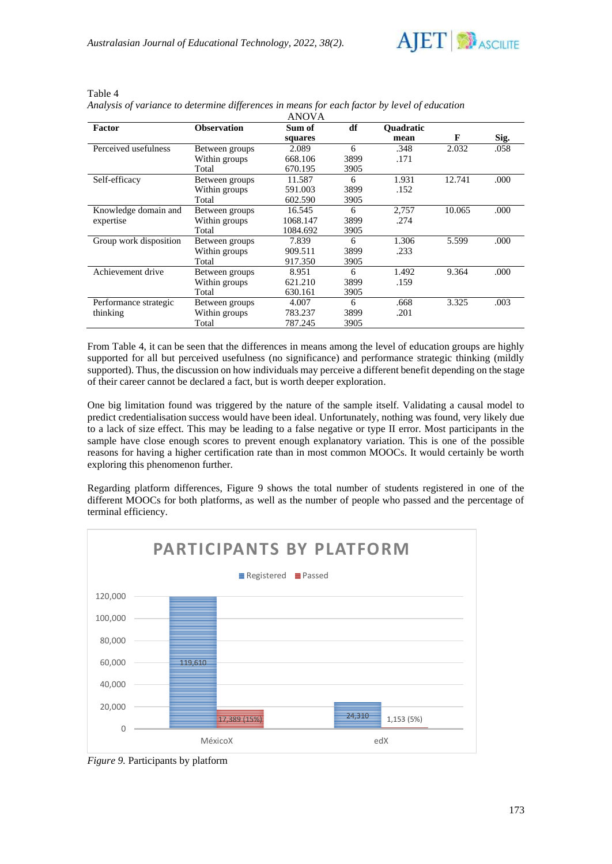

| Factor                 | <b>Observation</b> | Sum of   | df   | <b>Ouadratic</b> |        |      |
|------------------------|--------------------|----------|------|------------------|--------|------|
|                        |                    | squares  |      | mean             | F      | Sig. |
| Perceived usefulness   | Between groups     | 2.089    | 6    | .348             | 2.032  | .058 |
|                        | Within groups      | 668.106  | 3899 | .171             |        |      |
|                        | Total              | 670.195  | 3905 |                  |        |      |
| Self-efficacy          | Between groups     | 11.587   | 6    | 1.931            | 12.741 | .000 |
|                        | Within groups      | 591.003  | 3899 | .152             |        |      |
|                        | Total              | 602.590  | 3905 |                  |        |      |
| Knowledge domain and   | Between groups     | 16.545   | 6    | 2,757            | 10.065 | .000 |
| expertise              | Within groups      | 1068.147 | 3899 | .274             |        |      |
|                        | Total              | 1084.692 | 3905 |                  |        |      |
| Group work disposition | Between groups     | 7.839    | 6    | 1.306            | 5.599  | .000 |
|                        | Within groups      | 909.511  | 3899 | .233             |        |      |
|                        | Total              | 917.350  | 3905 |                  |        |      |
| Achievement drive      | Between groups     | 8.951    | 6    | 1.492            | 9.364  | .000 |
|                        | Within groups      | 621.210  | 3899 | .159             |        |      |
|                        | Total              | 630.161  | 3905 |                  |        |      |
| Performance strategic  | Between groups     | 4.007    | 6    | .668             | 3.325  | .003 |
| thinking               | Within groups      | 783.237  | 3899 | .201             |        |      |
|                        | Total              | 787.245  | 3905 |                  |        |      |

#### Table 4 *Analysis of variance to determine differences in means for each factor by level of education* ANOVA

From Table 4, it can be seen that the differences in means among the level of education groups are highly supported for all but perceived usefulness (no significance) and performance strategic thinking (mildly supported). Thus, the discussion on how individuals may perceive a different benefit depending on the stage of their career cannot be declared a fact, but is worth deeper exploration.

One big limitation found was triggered by the nature of the sample itself. Validating a causal model to predict credentialisation success would have been ideal. Unfortunately, nothing was found, very likely due to a lack of size effect. This may be leading to a false negative or type II error. Most participants in the sample have close enough scores to prevent enough explanatory variation. This is one of the possible reasons for having a higher certification rate than in most common MOOCs. It would certainly be worth exploring this phenomenon further.

Regarding platform differences, Figure 9 shows the total number of students registered in one of the different MOOCs for both platforms, as well as the number of people who passed and the percentage of terminal efficiency.



*Figure 9.* Participants by platform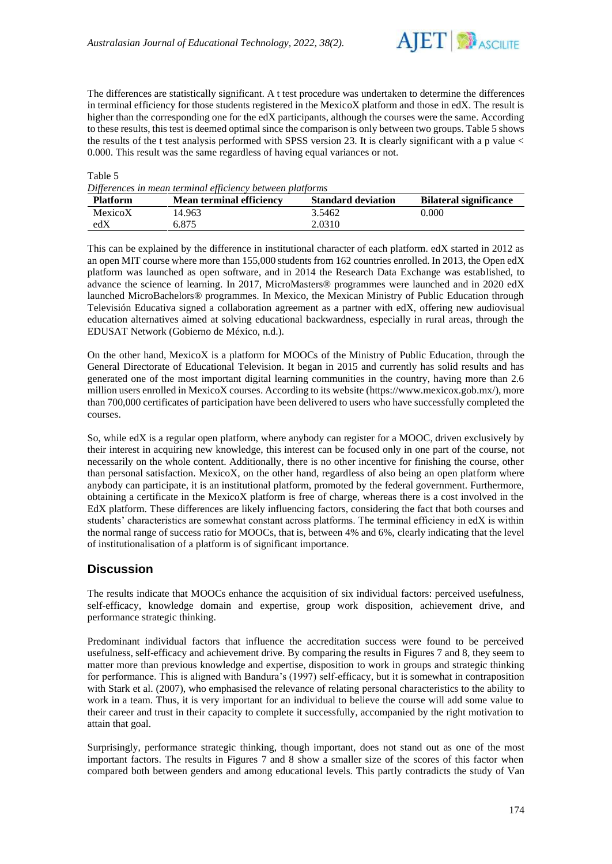

The differences are statistically significant. A t test procedure was undertaken to determine the differences in terminal efficiency for those students registered in the MexicoX platform and those in edX. The result is higher than the corresponding one for the edX participants, although the courses were the same. According to these results, this test is deemed optimal since the comparison is only between two groups. Table 5 shows the results of the t test analysis performed with SPSS version 23. It is clearly significant with a p value < 0.000. This result was the same regardless of having equal variances or not.

#### Table 5

*Differences in mean terminal efficiency between platforms*

| <b>Platform</b> | Mean terminal efficiency | <b>Standard deviation</b> | <b>Bilateral significance</b> |
|-----------------|--------------------------|---------------------------|-------------------------------|
| MexicoX         | 14.963                   | 3.5462                    | 0.000                         |
| edX             | 6.875                    | 2.0310                    |                               |

This can be explained by the difference in institutional character of each platform. edX started in 2012 as an open MIT course where more than 155,000 students from 162 countries enrolled. In 2013, the Open edX platform was launched as open software, and in 2014 the Research Data Exchange was established, to advance the science of learning. In 2017, MicroMasters® programmes were launched and in 2020 edX launched MicroBachelors® programmes. In Mexico, the Mexican Ministry of Public Education through Televisión Educativa signed a collaboration agreement as a partner with edX, offering new audiovisual education alternatives aimed at solving educational backwardness, especially in rural areas, through the EDUSAT Network (Gobierno de México, n.d.).

On the other hand, MexicoX is a platform for MOOCs of the Ministry of Public Education, through the General Directorate of Educational Television. It began in 2015 and currently has solid results and has generated one of the most important digital learning communities in the country, having more than 2.6 million users enrolled in MexicoX courses. According to its website [\(https://www.mexicox.gob.mx/\)](https://www.mexicox.gob.mx/), more than 700,000 certificates of participation have been delivered to users who have successfully completed the courses.

So, while edX is a regular open platform, where anybody can register for a MOOC, driven exclusively by their interest in acquiring new knowledge, this interest can be focused only in one part of the course, not necessarily on the whole content. Additionally, there is no other incentive for finishing the course, other than personal satisfaction. MexicoX, on the other hand, regardless of also being an open platform where anybody can participate, it is an institutional platform, promoted by the federal government. Furthermore, obtaining a certificate in the MexicoX platform is free of charge, whereas there is a cost involved in the EdX platform. These differences are likely influencing factors, considering the fact that both courses and students' characteristics are somewhat constant across platforms. The terminal efficiency in edX is within the normal range of success ratio for MOOCs, that is, between 4% and 6%, clearly indicating that the level of institutionalisation of a platform is of significant importance.

# **Discussion**

The results indicate that MOOCs enhance the acquisition of six individual factors: perceived usefulness, self-efficacy, knowledge domain and expertise, group work disposition, achievement drive, and performance strategic thinking.

Predominant individual factors that influence the accreditation success were found to be perceived usefulness, self-efficacy and achievement drive. By comparing the results in Figures 7 and 8, they seem to matter more than previous knowledge and expertise, disposition to work in groups and strategic thinking for performance. This is aligned with Bandura's (1997) self-efficacy, but it is somewhat in contraposition with Stark et al. (2007), who emphasised the relevance of relating personal characteristics to the ability to work in a team. Thus, it is very important for an individual to believe the course will add some value to their career and trust in their capacity to complete it successfully, accompanied by the right motivation to attain that goal.

Surprisingly, performance strategic thinking, though important, does not stand out as one of the most important factors. The results in Figures 7 and 8 show a smaller size of the scores of this factor when compared both between genders and among educational levels. This partly contradicts the study of Van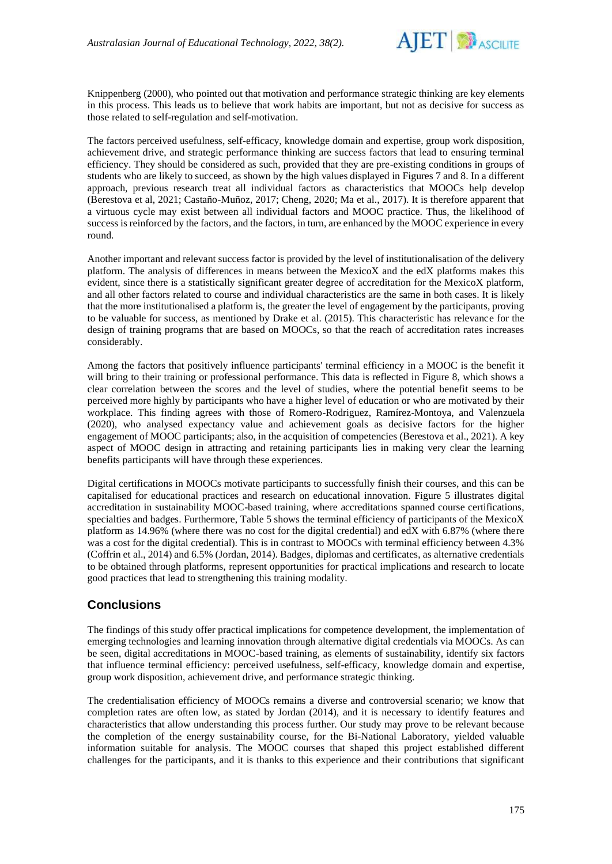

Knippenberg (2000), who pointed out that motivation and performance strategic thinking are key elements in this process. This leads us to believe that work habits are important, but not as decisive for success as those related to self-regulation and self-motivation.

The factors perceived usefulness, self-efficacy, knowledge domain and expertise, group work disposition, achievement drive, and strategic performance thinking are success factors that lead to ensuring terminal efficiency. They should be considered as such, provided that they are pre-existing conditions in groups of students who are likely to succeed, as shown by the high values displayed in Figures 7 and 8. In a different approach, previous research treat all individual factors as characteristics that MOOCs help develop (Berestova et al, 2021; Castaño-Muñoz, 2017; Cheng, 2020; Ma et al., 2017). It is therefore apparent that a virtuous cycle may exist between all individual factors and MOOC practice. Thus, the likelihood of success is reinforced by the factors, and the factors, in turn, are enhanced by the MOOC experience in every round.

Another important and relevant success factor is provided by the level of institutionalisation of the delivery platform. The analysis of differences in means between the MexicoX and the edX platforms makes this evident, since there is a statistically significant greater degree of accreditation for the MexicoX platform, and all other factors related to course and individual characteristics are the same in both cases. It is likely that the more institutionalised a platform is, the greater the level of engagement by the participants, proving to be valuable for success, as mentioned by Drake et al. (2015). This characteristic has relevance for the design of training programs that are based on MOOCs, so that the reach of accreditation rates increases considerably.

Among the factors that positively influence participants' terminal efficiency in a MOOC is the benefit it will bring to their training or professional performance. This data is reflected in Figure 8, which shows a clear correlation between the scores and the level of studies, where the potential benefit seems to be perceived more highly by participants who have a higher level of education or who are motivated by their workplace. This finding agrees with those of Romero-Rodriguez, Ramírez-Montoya, and Valenzuela (2020), who analysed expectancy value and achievement goals as decisive factors for the higher engagement of MOOC participants; also, in the acquisition of competencies (Berestova et al., 2021). A key aspect of MOOC design in attracting and retaining participants lies in making very clear the learning benefits participants will have through these experiences.

Digital certifications in MOOCs motivate participants to successfully finish their courses, and this can be capitalised for educational practices and research on educational innovation. Figure 5 illustrates digital accreditation in sustainability MOOC-based training, where accreditations spanned course certifications, specialties and badges. Furthermore, Table 5 shows the terminal efficiency of participants of the MexicoX platform as 14.96% (where there was no cost for the digital credential) and edX with 6.87% (where there was a cost for the digital credential). This is in contrast to MOOCs with terminal efficiency between 4.3% (Coffrin et al., 2014) and 6.5% (Jordan, 2014). Badges, diplomas and certificates, as alternative credentials to be obtained through platforms, represent opportunities for practical implications and research to locate good practices that lead to strengthening this training modality.

# **Conclusions**

The findings of this study offer practical implications for competence development, the implementation of emerging technologies and learning innovation through alternative digital credentials via MOOCs. As can be seen, digital accreditations in MOOC-based training, as elements of sustainability, identify six factors that influence terminal efficiency: perceived usefulness, self-efficacy, knowledge domain and expertise, group work disposition, achievement drive, and performance strategic thinking.

The credentialisation efficiency of MOOCs remains a diverse and controversial scenario; we know that completion rates are often low, as stated by Jordan (2014), and it is necessary to identify features and characteristics that allow understanding this process further. Our study may prove to be relevant because the completion of the energy sustainability course, for the Bi-National Laboratory, yielded valuable information suitable for analysis. The MOOC courses that shaped this project established different challenges for the participants, and it is thanks to this experience and their contributions that significant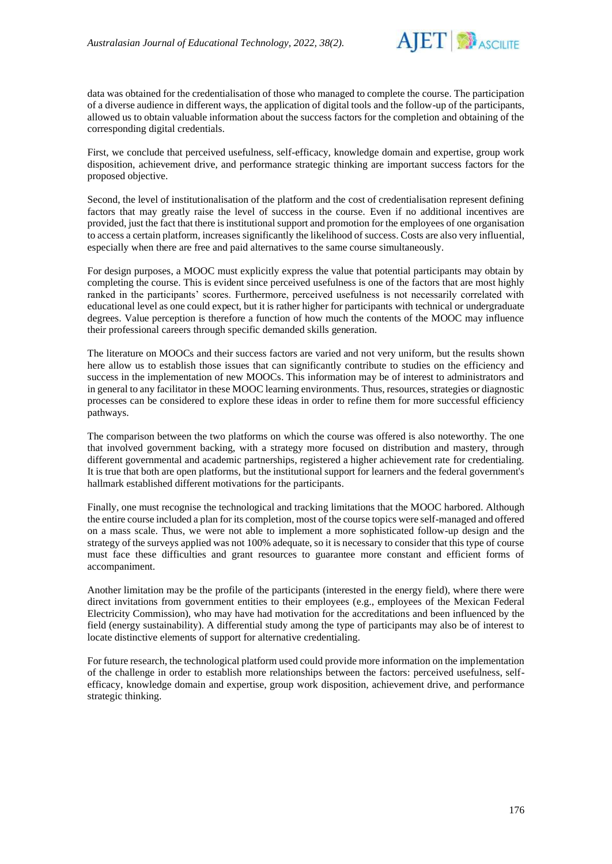

data was obtained for the credentialisation of those who managed to complete the course. The participation of a diverse audience in different ways, the application of digital tools and the follow-up of the participants, allowed us to obtain valuable information about the success factors for the completion and obtaining of the corresponding digital credentials.

First, we conclude that perceived usefulness, self-efficacy, knowledge domain and expertise, group work disposition, achievement drive, and performance strategic thinking are important success factors for the proposed objective.

Second, the level of institutionalisation of the platform and the cost of credentialisation represent defining factors that may greatly raise the level of success in the course. Even if no additional incentives are provided, just the fact that there is institutional support and promotion for the employees of one organisation to access a certain platform, increases significantly the likelihood of success. Costs are also very influential, especially when there are free and paid alternatives to the same course simultaneously.

For design purposes, a MOOC must explicitly express the value that potential participants may obtain by completing the course. This is evident since perceived usefulness is one of the factors that are most highly ranked in the participants' scores. Furthermore, perceived usefulness is not necessarily correlated with educational level as one could expect, but it is rather higher for participants with technical or undergraduate degrees. Value perception is therefore a function of how much the contents of the MOOC may influence their professional careers through specific demanded skills generation.

The literature on MOOCs and their success factors are varied and not very uniform, but the results shown here allow us to establish those issues that can significantly contribute to studies on the efficiency and success in the implementation of new MOOCs. This information may be of interest to administrators and in general to any facilitator in these MOOC learning environments. Thus, resources, strategies or diagnostic processes can be considered to explore these ideas in order to refine them for more successful efficiency pathways.

The comparison between the two platforms on which the course was offered is also noteworthy. The one that involved government backing, with a strategy more focused on distribution and mastery, through different governmental and academic partnerships, registered a higher achievement rate for credentialing. It is true that both are open platforms, but the institutional support for learners and the federal government's hallmark established different motivations for the participants.

Finally, one must recognise the technological and tracking limitations that the MOOC harbored. Although the entire course included a plan for its completion, most of the course topics were self-managed and offered on a mass scale. Thus, we were not able to implement a more sophisticated follow-up design and the strategy of the surveys applied was not 100% adequate, so it is necessary to consider that this type of course must face these difficulties and grant resources to guarantee more constant and efficient forms of accompaniment.

Another limitation may be the profile of the participants (interested in the energy field), where there were direct invitations from government entities to their employees (e.g., employees of the Mexican Federal Electricity Commission), who may have had motivation for the accreditations and been influenced by the field (energy sustainability). A differential study among the type of participants may also be of interest to locate distinctive elements of support for alternative credentialing.

For future research, the technological platform used could provide more information on the implementation of the challenge in order to establish more relationships between the factors: perceived usefulness, selfefficacy, knowledge domain and expertise, group work disposition, achievement drive, and performance strategic thinking.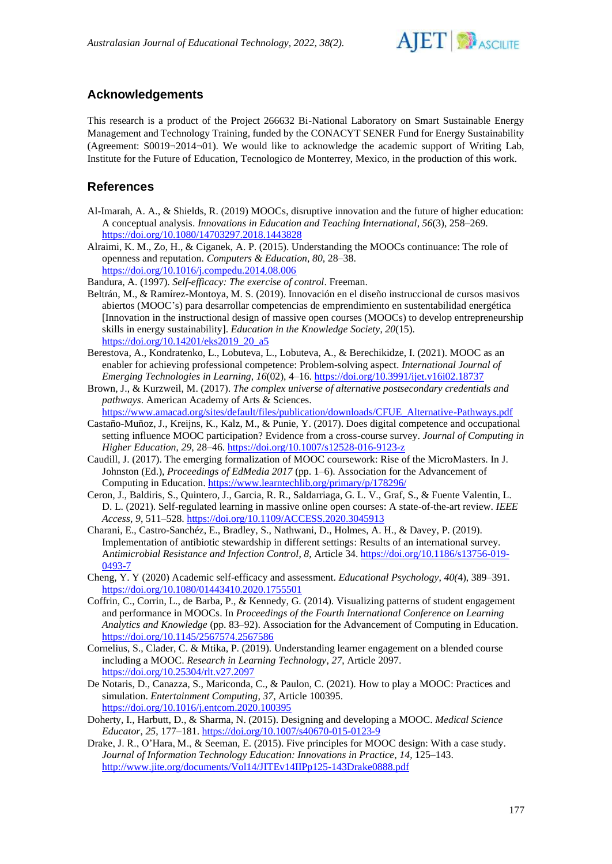

# **Acknowledgements**

This research is a product of the Project 266632 Bi-National Laboratory on Smart Sustainable Energy Management and Technology Training, funded by the CONACYT SENER Fund for Energy Sustainability (Agreement: S0019¬2014¬01). We would like to acknowledge the academic support of Writing Lab, Institute for the Future of Education, Tecnologico de Monterrey, Mexico, in the production of this work.

## **References**

- Al-Imarah, A. A., & Shields, R. (2019) MOOCs, disruptive innovation and the future of higher education: A conceptual analysis. *Innovations in Education and Teaching International*, *56*(3), 258–269. <https://doi.org/10.1080/14703297.2018.1443828>
- Alraimi, K. M., Zo, H., & Ciganek, A. P. (2015). Understanding the MOOCs continuance: The role of openness and reputation. *Computers & Education*, *80*, 28–38. <https://doi.org/10.1016/j.compedu.2014.08.006>

Bandura, A. (1997). *Self-efficacy: The exercise of control*. Freeman.

- Beltrán, M., & Ramírez-Montoya, M. S. (2019). Innovación en el diseño instruccional de cursos masivos abiertos (MOOC's) para desarrollar competencias de emprendimiento en sustentabilidad energética [Innovation in the instructional design of massive open courses (MOOCs) to develop entrepreneurship skills in energy sustainability]. *Education in the Knowledge Society*, *20*(15). [https://doi.org/10.14201/eks2019\\_20\\_a5](https://doi.org/10.14201/eks2019_20_a5)
- Berestova, A., Kondratenko, L., Lobuteva, L., Lobuteva, A., & Berechikidze, I. (2021). MOOC as an enabler for achieving professional competence: Problem-solving aspect. *International Journal of Emerging Technologies in Learning*, *16*(02), 4–16[. https://doi.org/10.3991/ijet.v16i02.18737](https://doi.org/10.3991/ijet.v16i02.18737)
- Brown, J., & Kurzweil, M. (2017). *The complex universe of alternative postsecondary credentials and pathways*. American Academy of Arts & Sciences.

[https://www.amacad.org/sites/default/files/publication/downloads/CFUE\\_Alternative-Pathways.pdf](https://www.amacad.org/sites/default/files/publication/downloads/CFUE_Alternative-Pathways.pdf)

- Castaño-Muñoz, J., Kreijns, K., Kalz, M., & Punie, Y. (2017). Does digital competence and occupational setting influence MOOC participation? Evidence from a cross-course survey. *Journal of Computing in Higher Education*, *29*, 28–46.<https://doi.org/10.1007/s12528-016-9123-z>
- Caudill, J. (2017). The emerging formalization of MOOC coursework: Rise of the MicroMasters. In J. Johnston (Ed.), *Proceedings of EdMedia 2017* (pp. 1–6). Association for the Advancement of Computing in Education[. https://www.learntechlib.org/primary/p/178296/](https://www.learntechlib.org/primary/p/178296/)
- Ceron, J., Baldiris, S., Quintero, J., Garcia, R. R., Saldarriaga, G. L. V., Graf, S., & Fuente Valentin, L. D. L. (2021). Self-regulated learning in massive online open courses: A state-of-the-art review. *IEEE Access*, *9*, 511–528[. https://doi.org/10.1109/ACCESS.2020.3045913](https://doi.org/10.1109/ACCESS.2020.3045913)
- Charani, E., Castro-Sanchéz, E., Bradley, S., Nathwani, D., Holmes, A. H., & Davey, P. (2019). Implementation of antibiotic stewardship in different settings: Results of an international survey. A*ntimicrobial Resistance and Infection Control*, *8*, Article 34. [https://doi.org/10.1186/s13756-019-](https://doi.org/10.1186/s13756-019-0493-7) [0493-7](https://doi.org/10.1186/s13756-019-0493-7)
- Cheng, Y. Y (2020) Academic self-efficacy and assessment. *Educational Psychology*, *40(*4), 389–391. <https://doi.org/10.1080/01443410.2020.1755501>
- Coffrin, C., Corrin, L., de Barba, P., & Kennedy, G. (2014). Visualizing patterns of student engagement and performance in MOOCs. In *Proceedings of the Fourth International Conference on Learning Analytics and Knowledge* (pp. 83–92). Association for the Advancement of Computing in Education. <https://doi.org/10.1145/2567574.2567586>
- Cornelius, S., Clader, C. & Mtika, P. (2019). Understanding learner engagement on a blended course including a MOOC. *Research in Learning Technology*, *27*, Article 2097. <https://doi.org/10.25304/rlt.v27.2097>
- De Notaris, D., Canazza, S., Mariconda, C., & Paulon, C. (2021). How to play a MOOC: Practices and simulation. *Entertainment Computing*, *37*, Article 100395. <https://doi.org/10.1016/j.entcom.2020.100395>
- Doherty, I., Harbutt, D., & Sharma, N. (2015). Designing and developing a MOOC. *Medical Science Educator*, *25*, 177–181[. https://doi.org/10.1007/s40670-015-0123-9](https://doi.org/10.1007/s40670-015-0123-9)
- Drake, J. R., O'Hara, M., & Seeman, E. (2015). Five principles for MOOC design: With a case study. *Journal of Information Technology Education: Innovations in Practice*, *14,* 125–143. <http://www.jite.org/documents/Vol14/JITEv14IIPp125-143Drake0888.pdf>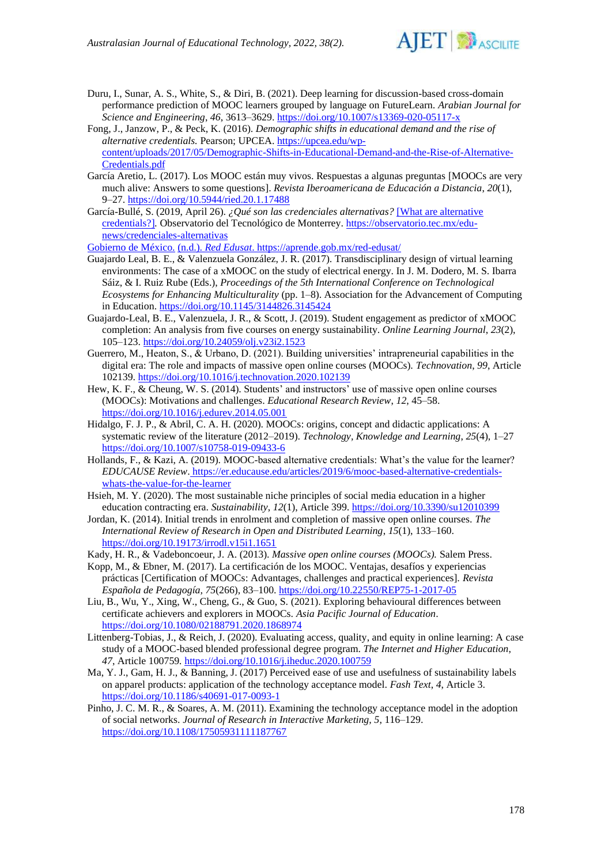

- Duru, I., Sunar, A. S., White, S., & Diri, B. (2021). Deep learning for discussion-based cross-domain performance prediction of MOOC learners grouped by language on FutureLearn. *Arabian Journal for Science and Engineering*, *46*, 3613–3629[. https://doi.org/10.1007/s13369-020-05117-x](https://doi.org/10.1007/s13369-020-05117-x)
- Fong, J., Janzow, P., & Peck, K. (2016). *Demographic shifts in educational demand and the rise of alternative credentials.* Pearson; UPCEA. [https://upcea.edu/wp](https://upcea.edu/wp-content/uploads/2017/05/Demographic-Shifts-in-Educational-Demand-and-the-Rise-of-Alternative-Credentials.pdf)[content/uploads/2017/05/Demographic-Shifts-in-Educational-Demand-and-the-Rise-of-Alternative-](https://upcea.edu/wp-content/uploads/2017/05/Demographic-Shifts-in-Educational-Demand-and-the-Rise-of-Alternative-Credentials.pdf)[Credentials.pdf](https://upcea.edu/wp-content/uploads/2017/05/Demographic-Shifts-in-Educational-Demand-and-the-Rise-of-Alternative-Credentials.pdf)
- García Aretio, L. (2017). Los MOOC están muy vivos. Respuestas a algunas preguntas [MOOCs are very much alive: Answers to some questions]. *Revista Iberoamericana de Educación a Distancia*, *20*(1), 9–27.<https://doi.org/10.5944/ried.20.1.17488>
- García-Bullé, S. (2019, April 26). *¿Qué son las credenciales alternativas?* [What are alternative credentials?]*.* Observatorio del Tecnológico de Monterrey. [https://observatorio.tec.mx/edu](https://observatorio.tec.mx/edu-news/credenciales-alternativas)[news/credenciales-alternativas](https://observatorio.tec.mx/edu-news/credenciales-alternativas)

Gobierno de México. (n.d.). *Red Edusat*. <https://aprende.gob.mx/red-edusat/>

- Guajardo Leal, B. E., & Valenzuela González, J. R. (2017). Transdisciplinary design of virtual learning environments: The case of a xMOOC on the study of electrical energy. In J. M. Dodero, M. S. Ibarra Sáiz, & I. Ruiz Rube (Eds.), *Proceedings of the 5th International Conference on Technological Ecosystems for Enhancing Multiculturality* (pp. 1–8). Association for the Advancement of Computing in Education.<https://doi.org/10.1145/3144826.3145424>
- Guajardo-Leal, B. E., Valenzuela, J. R., & Scott, J. (2019). Student engagement as predictor of xMOOC completion: An analysis from five courses on energy sustainability. *Online Learning Journal*, *23*(2), 105–123.<https://doi.org/10.24059/olj.v23i2.1523>
- Guerrero, M., Heaton, S., & Urbano, D. (2021). Building universities' intrapreneurial capabilities in the digital era: The role and impacts of massive open online courses (MOOCs). *Technovation*, *99*, Article 102139.<https://doi.org/10.1016/j.technovation.2020.102139>
- Hew, K. F., & Cheung, W. S. (2014). Students' and instructors' use of massive open online courses (MOOCs): Motivations and challenges. *Educational Research Review*, *12*, 45–58. <https://doi.org/10.1016/j.edurev.2014.05.001>
- Hidalgo, F. J. P., & Abril, C. A. H. (2020). MOOCs: origins, concept and didactic applications: A systematic review of the literature (2012–2019). *Technology, Knowledge and Learning*, *25*(4), 1–27 <https://doi.org/10.1007/s10758-019-09433-6>
- Hollands, F., & Kazi, A. (2019). MOOC-based alternative credentials: What's the value for the learner? *EDUCAUSE Review*. [https://er.educause.edu/articles/2019/6/mooc-based-alternative-credentials](https://er.educause.edu/articles/2019/6/mooc-based-alternative-credentials-whats-the-value-for-the-learner)[whats-the-value-for-the-learner](https://er.educause.edu/articles/2019/6/mooc-based-alternative-credentials-whats-the-value-for-the-learner)
- Hsieh, M. Y. (2020). The most sustainable niche principles of social media education in a higher education contracting era. *Sustainability*, *12*(1), Article 399.<https://doi.org/10.3390/su12010399>
- Jordan, K. (2014). Initial trends in enrolment and completion of massive open online courses. *The International Review of Research in Open and Distributed Learning*, *15*(1), 133–160. <https://doi.org/10.19173/irrodl.v15i1.1651>
- Kady, H. R., & Vadeboncoeur, J. A. (2013). *Massive open online courses (MOOCs).* Salem Press.
- Kopp, M., & Ebner, M. (2017). La certificación de los MOOC. Ventajas, desafíos y experiencias prácticas [Certification of MOOCs: Advantages, challenges and practical experiences]. *Revista Española de Pedagogía, 75*(266), 83–100.<https://doi.org/10.22550/REP75-1-2017-05>
- Liu, B., Wu, Y., Xing, W., Cheng, G., & Guo, S. (2021). Exploring behavioural differences between certificate achievers and explorers in MOOCs. *Asia Pacific Journal of Education*. <https://doi.org/10.1080/02188791.2020.1868974>
- Littenberg-Tobias, J., & Reich, J. (2020). Evaluating access, quality, and equity in online learning: A case study of a MOOC-based blended professional degree program. *The Internet and Higher Education*, *47*, Article 100759*.* <https://doi.org/10.1016/j.iheduc.2020.100759>
- Ma, Y. J., Gam, H. J., & Banning, J. (2017) Perceived ease of use and usefulness of sustainability labels on apparel products: application of the technology acceptance model. *Fash Text*, *4*, Article 3. <https://doi.org/10.1186/s40691-017-0093-1>
- Pinho, J. C. M. R., & Soares, A. M. (2011). Examining the technology acceptance model in the adoption of social networks. *Journal of Research in Interactive Marketing, 5*, 116–129. <https://doi.org/10.1108/17505931111187767>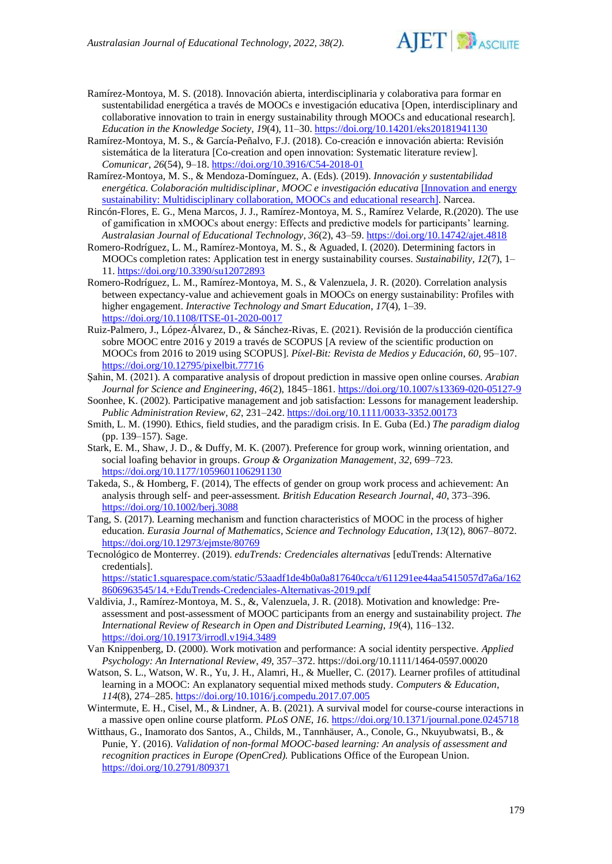

- Ramírez-Montoya, M. S. (2018). Innovación abierta, interdisciplinaria y colaborativa para formar en sustentabilidad energética a través de MOOCs e investigación educativa [Open, interdisciplinary and collaborative innovation to train in energy sustainability through MOOCs and educational research]. *Education in the Knowledge Society*, *19*(4), 11–30.<https://doi.org/10.14201/eks20181941130>
- Ramírez-Montoya, M. S., & García-Peñalvo, F.J. (2018). Co-creación e innovación abierta: Revisión sistemática de la literatura [Co-creation and open innovation: Systematic literature review]. *Comunicar*, *26*(54), 9–18.<https://doi.org/10.3916/C54-2018-01>
- Ramírez-Montoya, M. S., & Mendoza-Domínguez, A. (Eds). (2019). *Innovación y sustentabilidad energética. Colaboración multidisciplinar, MOOC e investigación educativa* [Innovation and energy sustainability: Multidisciplinary collaboration, MOOCs and educational research]. Narcea.
- Rincón-Flores, E. G., Mena Marcos, J. J., Ramírez-Montoya, M. S., Ramírez Velarde, R.(2020). The use of gamification in xMOOCs about energy: Effects and predictive models for participants' learning. *Australasian Journal of Educational Technology*, *36*(2), 43–59[. https://doi.org/10.14742/ajet.4818](https://doi.org/10.14742/ajet.4818)
- Romero-Rodríguez, L. M., Ramírez-Montoya, M. S., & Aguaded, I. (2020). Determining factors in MOOCs completion rates: Application test in energy sustainability courses. *Sustainability, 12*(7), 1– 11.<https://doi.org/10.3390/su12072893>
- Romero-Rodríguez, L. M., Ramírez-Montoya, M. S., & Valenzuela, J. R. (2020). Correlation analysis between expectancy-value and achievement goals in MOOCs on energy sustainability: Profiles with higher engagement. *Interactive Technology and Smart Education*, *17*(4), 1–39. <https://doi.org/10.1108/ITSE-01-2020-0017>
- Ruiz-Palmero, J., López-Álvarez, D., & Sánchez-Rivas, E. (2021). Revisión de la producción científica sobre MOOC entre 2016 y 2019 a través de SCOPUS [A review of the scientific production on MOOCs from 2016 to 2019 using SCOPUS]. *Píxel-Bit: Revista de Medios y Educación*, *60,* 95–107. <https://doi.org/10.12795/pixelbit.77716>
- Şahin, M. (2021). A comparative analysis of dropout prediction in massive open online courses. *Arabian Journal for Science and Engineering*, *46*(2), 1845–1861[. https://doi.org/10.1007/s13369-020-05127-9](https://doi.org/10.1007/s13369-020-05127-9)
- Soonhee, K. (2002). Participative management and job satisfaction: Lessons for management leadership. *Public Administration Review*, *62*, 231–242. <https://doi.org/10.1111/0033-3352.00173>
- Smith, L. M. (1990). Ethics, field studies, and the paradigm crisis. In E. Guba (Ed.) *The paradigm dialog* (pp. 139–157). Sage.
- Stark, E. M., Shaw, J. D., & Duffy, M. K. (2007). Preference for group work, winning orientation, and social loafing behavior in groups. *Group & Organization Management*, *32,* 699–723. <https://doi.org/10.1177/1059601106291130>
- Takeda, S., & Homberg, F. (2014), The effects of gender on group work process and achievement: An analysis through self- and peer-assessment*. British Education Research Journal*, *40*, 373–396. <https://doi.org/10.1002/berj.3088>
- Tang, S. (2017). Learning mechanism and function characteristics of MOOC in the process of higher education. *Eurasia Journal of Mathematics, Science and Technology Education*, *13*(12), 8067–8072. <https://doi.org/10.12973/ejmste/80769>
- Tecnológico de Monterrey. (2019). *eduTrends: Credenciales alternativas* [eduTrends: Alternative credentials].

[https://static1.squarespace.com/static/53aadf1de4b0a0a817640cca/t/611291ee44aa5415057d7a6a/162](https://static1.squarespace.com/static/53aadf1de4b0a0a817640cca/t/611291ee44aa5415057d7a6a/1628606963545/14.+EduTrends-Credenciales-Alternativas-2019.pdf) [8606963545/14.+EduTrends-Credenciales-Alternativas-2019.pdf](https://static1.squarespace.com/static/53aadf1de4b0a0a817640cca/t/611291ee44aa5415057d7a6a/1628606963545/14.+EduTrends-Credenciales-Alternativas-2019.pdf)

- Valdivia, J., Ramírez-Montoya, M. S., &, Valenzuela, J. R. (2018). Motivation and knowledge: Preassessment and post-assessment of MOOC participants from an energy and sustainability project. *The International Review of Research in Open and Distributed Learning*, *19*(4), 116–132. <https://doi.org/10.19173/irrodl.v19i4.3489>
- Van Knippenberg, D. (2000). Work motivation and performance: A social identity perspective. *Applied Psychology: An International Review*, *49*, 357–372. https://doi.org/10.1111/1464-0597.00020
- Watson, S. L., Watson, W. R., Yu, J. H., Alamri, H., & Mueller, C. (2017). Learner profiles of attitudinal learning in a MOOC: An explanatory sequential mixed methods study. *Computers & Education*, *114*(8), 274–285.<https://doi.org/10.1016/j.compedu.2017.07.005>
- Wintermute, E. H., Cisel, M., & Lindner, A. B. (2021). A survival model for course-course interactions in a massive open online course platform. *PLoS ONE*, *16*[. https://doi.org/10.1371/journal.pone.0245718](https://doi.org/10.1371/journal.pone.0245718)
- Witthaus, G., Inamorato dos Santos, A., Childs, M., Tannhäuser, A., Conole, G., Nkuyubwatsi, B., & Punie, Y. (2016). *Validation of non-formal MOOC-based learning: An analysis of assessment and recognition practices in Europe (OpenCred)*. Publications Office of the European Union. <https://doi.org/10.2791/809371>